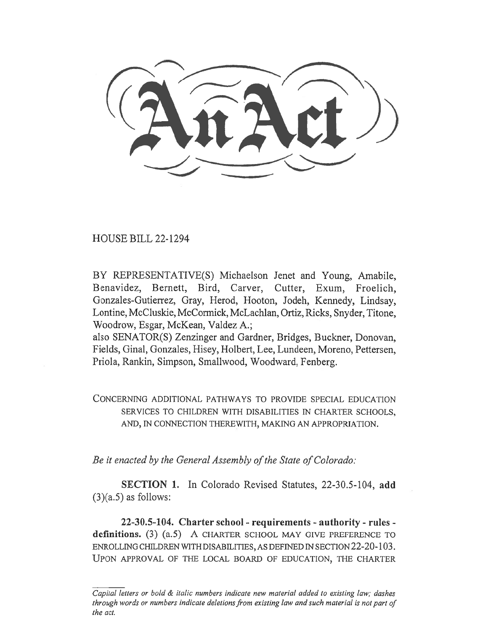HOUSE BILL 22-1294

BY REPRESENTATIVE(S) Michaelson Jenet and Young, Amabile, Benavidez, Bernett, Bird, Carver, Cutter, Exum, Froelich, Gonzales-Gutierrez, Gray, Herod, Hooton, Jodeh, Kennedy, Lindsay, Lontine, McCluskie, McCormick, McLachlan, Ortiz, Ricks, Snyder, Titone, Woodrow, Esgar, McKean, Valdez A.;

also SENATOR(S) Zenzinger and Gardner, Bridges, Buckner, Donovan, Fields, Ginal, Gonzales, Hisey, Holbert, Lee, Lundeen, Moreno, Pettersen, Priola, Rankin, Simpson, Smallwood, Woodward, Fenberg.

CONCERNING ADDITIONAL PATHWAYS TO PROVIDE SPECIAL EDUCATION SERVICES TO CHILDREN WITH DISABILITIES IN CHARTER SCHOOLS, AND, IN CONNECTION THEREWITH, MAKING AN APPROPRIATION.

Be it enacted by the General Assembly of the State of Colorado:

SECTION 1. In Colorado Revised Statutes, 22-30.5-104, add  $(3)(a.5)$  as follows:

22-30.5-104. Charter school - requirements - authority - rules definitions. (3) (a.5) A CHARTER SCHOOL MAY GIVE PREFERENCE TO ENROLLING CHILDREN WITH DISABILITIES, AS DEFINED IN SECTION 22-20-103. UPON APPROVAL OF THE LOCAL BOARD OF EDUCATION, THE CHARTER

Capital letters or bold & italic numbers indicate new material added to existing law; dashes through words or numbers indicate deletions from existing law and such material is not part of the act.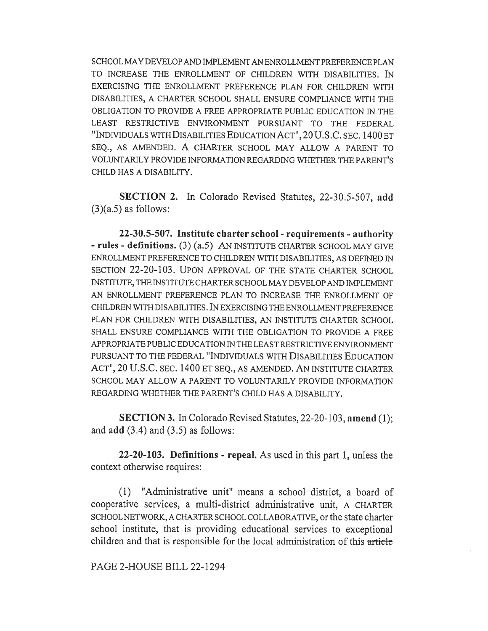SCHOOL MAY DEVELOP AND IMPLEMENT AN ENROLLMENT PREFERENCE PLAN TO INCREASE THE ENROLLMENT OF CHILDREN WITH DISABILITIES. IN EXERCISING THE ENROLLMENT PREFERENCE PLAN FOR CHILDREN WITH DISABILITIES, A CHARTER SCHOOL SHALL ENSURE COMPLIANCE WITH THE OBLIGATION TO PROVIDE A FREE APPROPRIATE PUBLIC EDUCATION IN THE LEAST RESTRICTIVE ENVIRONMENT PURSUANT TO THE FEDERAL "INDIVIDUALS WITH DISABILITIES EDUCATION ACT", 20 U.S.C. SEC. 1400 ET SEQ., AS AMENDED. A CHARTER SCHOOL MAY ALLOW A PARENT TO VOLUNTARILY PROVIDE INFORMATION REGARDING WHETHER THE PARENT'S CHILD HAS A DISABILITY.

SECTION 2. In Colorado Revised Statutes, 22-30.5-507, add  $(3)(a.5)$  as follows:

22-30.5-507. Institute charter school - requirements - authority - rules - definitions. (3) (a.5) AN INSTITUTE CHARTER SCHOOL MAY GIVE ENROLLMENT PREFERENCE TO CHILDREN WITH DISABILITIES, AS DEFINED IN SECTION 22-20-103. UPON APPROVAL OF THE STATE CHARTER SCHOOL INSTITUTE, THE INSTITUTE CHARTER SCHOOL MAY DEVELOP AND IMPLEMENT AN ENROLLMENT PREFERENCE PLAN TO INCREASE THE ENROLLMENT OF CHILDREN WITH DISABILITIES. IN EXERCISING THE ENROLLMENT PREFERENCE PLAN FOR CHILDREN WITH DISABILITIES, AN INSTITUTE CHARTER SCHOOL SHALL ENSURE COMPLIANCE WITH THE OBLIGATION TO PROVIDE A FREE APPROPRIATE PUBLIC EDUCATION IN THE LEAST RESTRICTIVE ENVIRONMENT PURSUANT TO THE FEDERAL "INDIVIDUALS WITH DISABILITIES EDUCATION ACT", 20 U.S.C. SEC. 1400 ET SEQ., AS AMENDED. AN INSTITUTE CHARTER SCHOOL MAY ALLOW A PARENT TO VOLUNTARILY PROVIDE INFORMATION REGARDING WHETHER THE PARENT'S CHILD HAS A DISABILITY.

SECTION 3. In Colorado Revised Statutes, 22-20-103, amend (1); and  $add(3.4)$  and  $(3.5)$  as follows:

22-20-103. Definitions - repeal. As used in this part 1, unless the context otherwise requires:

(1) "Administrative unit" means a school district, a board of cooperative services, a multi-district administrative unit, A CHARTER SCHOOL NETWORK, A CHARTER SCHOOL COLLABORATIVE, or the state charter school institute, that is providing educational services to exceptional children and that is responsible for the local administration of this article

## PAGE 2-HOUSE BILL 22-1294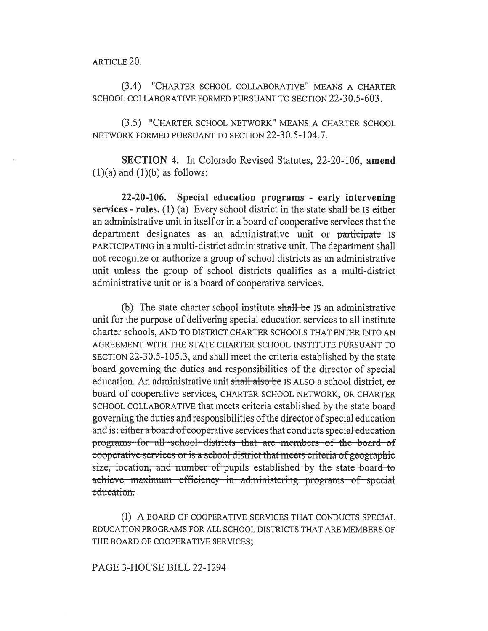ARTICLE 20.

(3.4) "CHARTER SCHOOL COLLABORATIVE" MEANS A CHARTER SCHOOL COLLABORATIVE FORMED PURSUANT TO SECTION 22-30.5-603.

(3.5) "CHARTER SCHOOL NETWORK" MEANS A CHARTER SCHOOL NETWORK FORMED PURSUANT TO SECTION 22-30.5-104.7.

SECTION 4. In Colorado Revised Statutes, 22-20-106, amend  $(1)(a)$  and  $(1)(b)$  as follows:

22-20-106. Special education programs - early intervening services - rules. (1) (a) Every school district in the state shall be IS either an administrative unit in itself or in a board of cooperative services that the department designates as an administrative unit or participate IS PARTICIPATING in a multi-district administrative unit. The department shall not recognize or authorize a group of school districts as an administrative unit unless the group of school districts qualifies as a multi-district administrative unit or is a board of cooperative services.

(b) The state charter school institute  $shall$  be is an administrative unit for the purpose of delivering special education services to all institute charter schools, AND TO DISTRICT CHARTER SCHOOLS THAT ENTER INTO AN AGREEMENT WITH THE STATE CHARTER SCHOOL INSTITUTE PURSUANT TO SECTION 22-30.5-105.3, and shall meet the criteria established by the state board governing the duties and responsibilities of the director of special education. An administrative unit shall also be IS ALSO a school district, or board of cooperative services, CHARTER SCHOOL NETWORK, OR CHARTER SCHOOL COLLABORATIVE that meets criteria established by the state board governing the duties and responsibilities of the director of special education and is: either a board of cooperative services that conducts special education programs-for-all-school-districts that are members-of the board-of cooperative services or is a school district that meets criteria of geographic size, location, and number of pupils established by the state board to achieve maximum efficiency in administering programs of special education.

(I) A BOARD OF COOPERATIVE SERVICES THAT CONDUCTS SPECIAL EDUCATION PROGRAMS FOR ALL SCHOOL DISTRICTS THAT ARE MEMBERS OF THE BOARD OF COOPERATIVE SERVICES;

## PAGE 3-HOUSE BILL 22-1294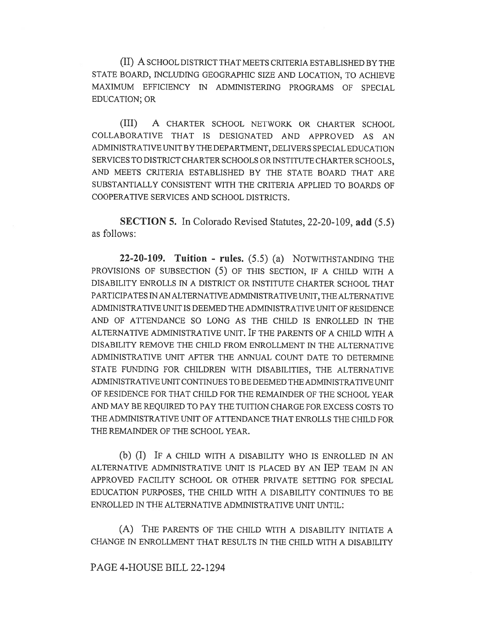(II) A SCHOOL DISTRICT THAT MEETS CRITERIA ESTABLISHED BY THE STATE BOARD, INCLUDING GEOGRAPHIC SIZE AND LOCATION, TO ACHIEVE MAXIMUM EFFICIENCY IN ADMINISTERING PROGRAMS OF SPECIAL EDUCATION; OR

(III) A CHARTER SCHOOL NETWORK OR CHARTER SCHOOL COLLABORATIVE THAT IS DESIGNATED AND APPROVED AS AN ADMINISTRATIVE UNIT BY THE DEPARTMENT, DELIVERS SPECIAL EDUCATION SERVICES TO DISTRICT CHARTER SCHOOLS OR INSTITUTE CHARTER SCHOOLS, AND MEETS CRITERIA ESTABLISHED BY THE STATE BOARD THAT ARE SUBSTANTIALLY CONSISTENT WITH THE CRITERIA APPLIED TO BOARDS OF COOPERATIVE SERVICES AND SCHOOL DISTRICTS.

SECTION 5. In Colorado Revised Statutes, 22-20-109, add (5.5) as follows:

22-20-109. Tuition - rules.  $(5.5)$  (a) NOTWITHSTANDING THE PROVISIONS OF SUBSECTION (5) OF THIS SECTION, IF A CHILD WITH A DISABILITY ENROLLS IN A DISTRICT OR INSTITUTE CHARTER SCHOOL THAT PARTICIPATES IN AN ALTERNATIVE ADMINISTRATIVE UNIT, THE ALTERNATIVE ADMINISTRATIVE UNIT IS DEEMED THE ADMINISTRATIVE UNIT OF RESIDENCE AND OF ATTENDANCE SO LONG AS THE CHILD IS ENROLLED IN THE ALTERNATIVE ADMINISTRATIVE UNIT. IF THE PARENTS OF A CHILD WITH A DISABILITY REMOVE THE CHILD FROM ENROLLMENT IN THE ALTERNATIVE ADMINISTRATIVE UNIT AFTER THE ANNUAL COUNT DATE TO DETERMINE STATE FUNDING FOR CHILDREN WITH DISABILITIES, THE ALTERNATIVE ADMINISTRATIVE UNIT CONTINUES TO BE DEEMED THE ADMINISTRATIVE UNIT OF RESIDENCE FOR THAT CHILD FOR THE REMAINDER OF THE SCHOOL YEAR AND MAY BE REQUIRED TO PAY THE TUITION CHARGE FOR EXCESS COSTS TO THE ADMINISTRATIVE UNIT OF ATTENDANCE THAT ENROLLS THE CHILD FOR THE REMAINDER OF THE SCHOOL YEAR.

(b) (I) IF A CHILD WITH A DISABILITY WHO IS ENROLLED IN AN ALTERNATIVE ADMINISTRATIVE UNIT IS PLACED BY AN IEP TEAM IN AN APPROVED FACILITY SCHOOL OR OTHER PRIVATE SETTING FOR SPECIAL EDUCATION PURPOSES, THE CHILD WITH A DISABILITY CONTINUES TO BE ENROLLED IN THE ALTERNATIVE ADMINISTRATIVE UNIT UNTIL:

(A) THE PARENTS OF THE CHILD WITH A DISABILITY INITIATE A CHANGE IN ENROLLMENT THAT RESULTS IN THE CHILD WITH A DISABILITY

PAGE 4-HOUSE BILL 22-1294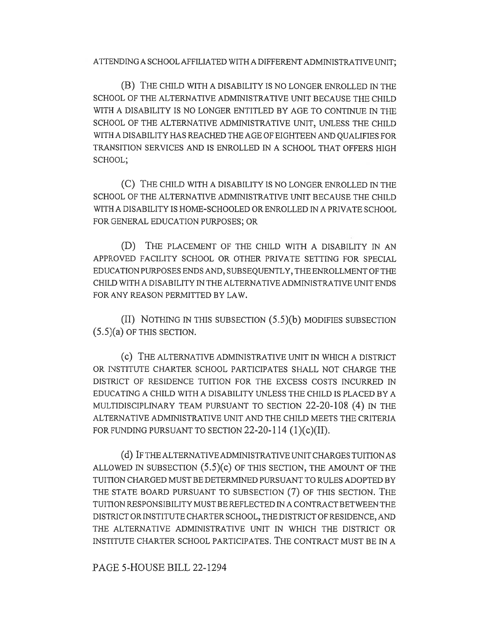ATTENDING A SCHOOL AFFILIATED WITH A DIFFERENT ADMINISTRATIVE UNIT;

(B) THE CHILD WITH A DISABILITY IS NO LONGER ENROLLED IN THE SCHOOL OF THE ALTERNATIVE ADMINISTRATIVE UNIT BECAUSE THE CHILD WITH A DISABILITY IS NO LONGER ENTITLED BY AGE TO CONTINUE IN THE SCHOOL OF THE ALTERNATIVE ADMINISTRATIVE UNIT, UNLESS THE CHILD WITH A DISABILITY HAS REACHED THE AGE OF EIGHTEEN AND QUALIFIES FOR TRANSITION SERVICES AND IS ENROLLED IN A SCHOOL THAT OFFERS HIGH SCHOOL;

(C) THE CHILD WITH A DISABILITY IS NO LONGER ENROLLED IN THE SCHOOL OF THE ALTERNATIVE ADMINISTRATIVE UNIT BECAUSE THE CHILD WITH A DISABILITY IS HOME-SCHOOLED OR ENROLLED IN A PRIVATE SCHOOL FOR GENERAL EDUCATION PURPOSES; OR

(D) THE PLACEMENT OF THE CHILD WITH A DISABILITY IN AN APPROVED FACILITY SCHOOL OR OTHER PRIVATE SETTING FOR SPECIAL EDUCATION PURPOSES ENDS AND, SUBSEQUENTLY, THE ENROLLMENT OF THE CHILD WITH A DISABILITY IN THE ALTERNATIVE ADMINISTRATIVE UNIT ENDS FOR ANY REASON PERMITTED BY LAW.

(II) NOTHING IN THIS SUBSECTION (5.5)(b) MODIFIES SUBSECTION (5.5)(a) OF THIS SECTION.

(C) THE ALTERNATIVE ADMINISTRATIVE UNIT IN WHICH A DISTRICT OR INSTITUTE CHARTER SCHOOL PARTICIPATES SHALL NOT CHARGE THE DISTRICT OF RESIDENCE TUITION FOR THE EXCESS COSTS INCURRED IN EDUCATING A CHILD WITH A DISABILITY UNLESS THE CHILD IS PLACED BY A MULTIDISCIPLINARY TEAM PURSUANT TO SECTION 22-20-108 (4) IN THE ALTERNATIVE ADMINISTRATIVE UNIT AND THE CHILD MEETS THE CRITERIA FOR FUNDING PURSUANT TO SECTION 22-20-114 (1)(c)(II).

(d) IF THE ALTERNATIVE ADMINISTRATIVE UNIT CHARGES TUITION AS ALLOWED IN SUBSECTION  $(5.5)(c)$  OF THIS SECTION, THE AMOUNT OF THE TUITION CHARGED MUST BE DETERMINED PURSUANT TO RULES ADOPTED BY THE STATE BOARD PURSUANT TO SUBSECTION (7) OF THIS SECTION. THE TUITION RESPONSIBILITY MUST BE REFLECTED IN A CONTRACT BETWEEN THE DISTRICT OR INSTITUTE CHARTER SCHOOL, THE DISTRICT OF RESIDENCE, AND THE ALTERNATIVE ADMINISTRATIVE UNIT IN WHICH THE DISTRICT OR INSTITUTE CHARTER SCHOOL PARTICIPATES. THE CONTRACT MUST BE IN A

PAGE 5-HOUSE BILL 22-1294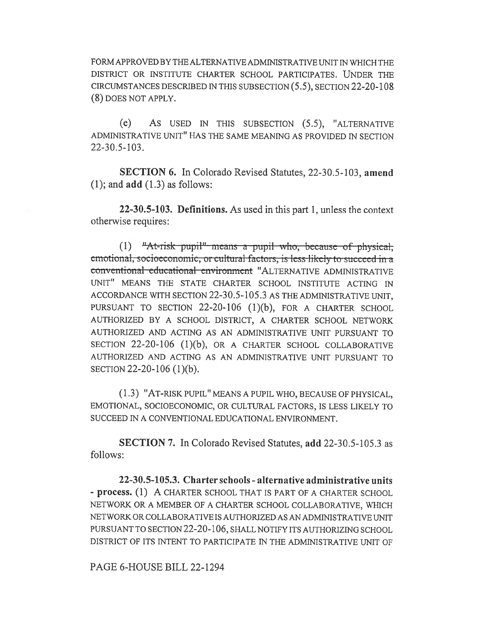FORM APPROVED BY THE ALTERNATIVE ADMINISTRATIVE UNIT IN WHICH THE DISTRICT OR INSTITUTE CHARTER SCHOOL PARTICIPATES. UNDER THE CIRCUMSTANCES DESCRIBED IN THIS SUBSECTION (5.5), SECTION 22-20-108 (8) DOES NOT APPLY.

(e) AS USED IN THIS SUBSECTION (5.5), "ALTERNATIVE ADMINISTRATIVE UNIT" HAS THE SAME MEANING AS PROVIDED IN SECTION 22-30.5-103.

SECTION 6. In Colorado Revised Statutes, 22-30.5-103, amend  $(1)$ ; and  $add(1.3)$  as follows:

22-30.5-103. Definitions. As used in this part 1, unless the context otherwise requires:

 $(1)$  "At-risk pupil" means a pupil who, because of physical, emotional, socioeconomic, or cultural factors, is less likely to succeed in a conventional educational environment "ALTERNATIVE ADMINISTRATIVE UNIT" MEANS THE STATE CHARTER SCHOOL INSTITUTE ACTING IN ACCORDANCE WITH SECTION 22-30.5-105.3 AS THE ADMINISTRATIVE UNIT, PURSUANT TO SECTION 22-20-106 (1)(b), FOR A CHARTER SCHOOL AUTHORIZED BY A SCHOOL DISTRICT, A CHARTER SCHOOL NETWORK AUTHORIZED AND ACTING AS AN ADMINISTRATIVE UNIT PURSUANT TO SECTION 22-20-106 (1)(b), OR A CHARTER SCHOOL COLLABORATIVE AUTHORIZED AND ACTING AS AN ADMINISTRATIVE UNIT PURSUANT TO SECTION 22-20-106 (1)(b).

(1.3) "AT-RISK PUPIL" MEANS A PUPIL WHO, BECAUSE OF PHYSICAL, EMOTIONAL, SOCIOECONOMIC, OR CULTURAL FACTORS, IS LESS LIKELY TO SUCCEED IN A CONVENTIONAL EDUCATIONAL ENVIRONMENT.

SECTION 7. In Colorado Revised Statutes, add 22-30.5-105.3 as follows:

22-30.5-105.3. Charter schools - alternative administrative units - process. (1) A CHARTER SCHOOL THAT IS PART OF A CHARTER SCHOOL NETWORK OR A MEMBER OF A CHARTER SCHOOL COLLABORATIVE, WHICH NETWORK OR COLLABORATIVE IS AUTHORIZED AS AN ADMINISTRATIVE UNIT PURSUANT TO SECTION 22-20-106, SHALL NOTIFY ITS AUTHORIZING SCHOOL DISTRICT OF ITS INTENT TO PARTICIPATE IN THE ADMINISTRATIVE UNIT OF

PAGE 6-HOUSE BILL 22-1294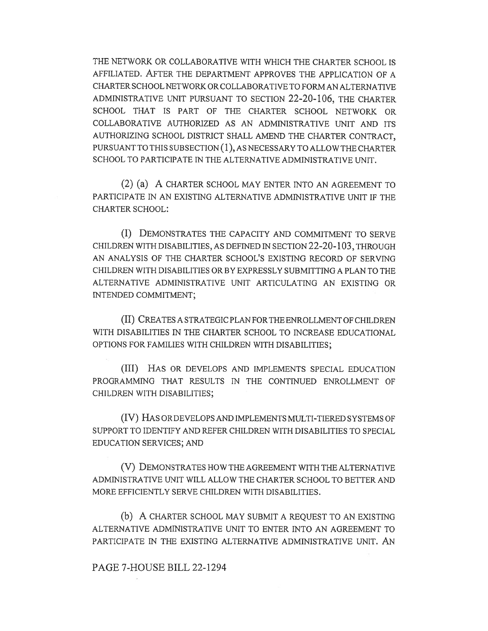THE NETWORK OR COLLABORATIVE WITH WHICH THE CHARTER SCHOOL IS AFFILIATED. AFTER THE DEPARTMENT APPROVES THE APPLICATION OF A CHARTER SCHOOL NETWORK OR COLLABORATIVE TO FORM AN ALTERNATIVE ADMINISTRATIVE UNIT PURSUANT TO SECTION 22-20-106, THE CHARTER SCHOOL THAT IS PART OF THE CHARTER SCHOOL NETWORK OR COLLABORATIVE AUTHORIZED AS AN ADMINISTRATIVE UNIT AND ITS AUTHORIZING SCHOOL DISTRICT SHALL AMEND THE CHARTER CONTRACT, PURSUANT TO THIS SUBSECTION (1), AS NECESSARY TO ALLOW THE CHARTER SCHOOL TO PARTICIPATE IN THE ALTERNATIVE ADMINISTRATIVE UNIT.

(2) (a) A CHARTER SCHOOL MAY ENTER INTO AN AGREEMENT TO PARTICIPATE IN AN EXISTING ALTERNATIVE ADMINISTRATIVE UNIT IF THE CHARTER SCHOOL:

(I) DEMONSTRATES THE CAPACITY AND COMMITMENT TO SERVE CHILDREN WITH DISABILITIES, AS DEFINED IN SECTION 22-20-103, THROUGH AN ANALYSIS OF THE CHARTER SCHOOL'S EXISTING RECORD OF SERVING CHILDREN WITH DISABILITIES OR BY EXPRESSLY SUBMITTING A PLAN TO THE ALTERNATIVE ADMINISTRATIVE UNIT ARTICULATING AN EXISTING OR INTENDED COMMITMENT;

(II) CREATES A STRATEGIC PLAN FOR THE ENROLLMENT OF CHILDREN WITH DISABILITIES IN THE CHARTER SCHOOL TO INCREASE EDUCATIONAL OPTIONS FOR FAMILIES WITH CHILDREN WITH DISABILITIES;

(III) HAS OR DEVELOPS AND IMPLEMENTS SPECIAL EDUCATION PROGRAMMING THAT RESULTS IN THE CONTINUED ENROLLMENT OF CHILDREN WITH DISABILITIES;

(IV) HAS OR DEVELOPS AND IMPLEMENTS MULTI-TIERED SYSTEMS OF SUPPORT TO IDENTIFY AND REFER CHILDREN WITH DISABILITIES TO SPECIAL EDUCATION SERVICES; AND

(V) DEMONSTRATES HOW THE AGREEMENT WITH THE ALTERNATIVE ADMINISTRATIVE UNIT WILL ALLOW THE CHARTER SCHOOL TO BETTER AND MORE EFFICIENTLY SERVE CHILDREN WITH DISABILITIES.

(b) A CHARTER SCHOOL MAY SUBMIT A REQUEST TO AN EXISTING ALTERNATIVE ADMINISTRATIVE UNIT TO ENTER INTO AN AGREEMENT TO PARTICIPATE IN THE EXISTING ALTERNATIVE ADMINISTRATIVE UNIT. AN

## PAGE 7-HOUSE BILL 22-1294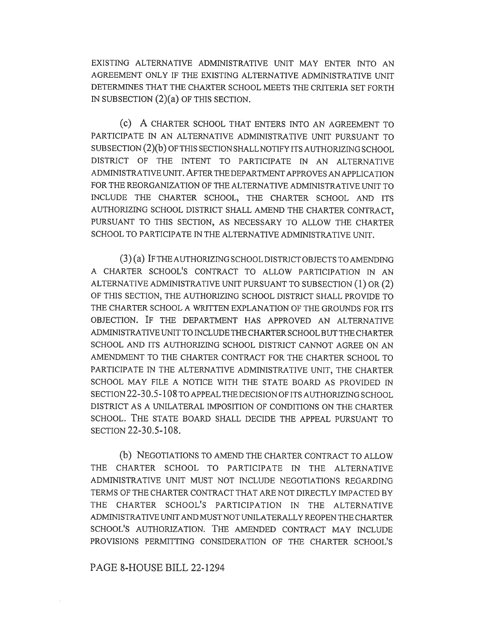EXISTING ALTERNATIVE ADMINISTRATIVE UNIT MAY ENTER INTO AN AGREEMENT ONLY IF THE EXISTING ALTERNATIVE ADMINISTRATIVE UNIT DETERMINES THAT THE CHARTER SCHOOL MEETS THE CRITERIA SET FORTH IN SUBSECTION (2)(a) OF THIS SECTION.

(c) A CHARTER SCHOOL THAT ENTERS INTO AN AGREEMENT TO PARTICIPATE IN AN ALTERNATIVE ADMINISTRATIVE UNIT PURSUANT TO SUBSECTION (2)(b) OF THIS SECTION SHALL NOTIFY ITS AUTHORIZING SCHOOL DISTRICT OF THE INTENT TO PARTICIPATE IN AN ALTERNATIVE ADMINISTRATIVE UNIT. AFTER THE DEPARTMENT APPROVES AN APPLICATION FOR THE REORGANIZATION OF THE ALTERNATIVE ADMINISTRATIVE UNIT TO INCLUDE THE CHARTER SCHOOL, THE CHARTER SCHOOL AND ITS AUTHORIZING SCHOOL DISTRICT SHALL AMEND THE CHARTER CONTRACT, PURSUANT TO THIS SECTION, AS NECESSARY TO ALLOW THE CHARTER SCHOOL TO PARTICIPATE IN THE ALTERNATIVE ADMINISTRATIVE UNIT.

(3) (a) IF THE AUTHORIZING SCHOOL DISTRICT OBJECTS TO AMENDING A CHARTER SCHOOL'S CONTRACT TO ALLOW PARTICIPATION IN AN ALTERNATIVE ADMINISTRATIVE UNIT PURSUANT TO SUBSECTION (1) OR (2) OF THIS SECTION, THE AUTHORIZING SCHOOL DISTRICT SHALL PROVIDE TO THE CHARTER SCHOOL A WRITTEN EXPLANATION OF THE GROUNDS FOR ITS OBJECTION. IF THE DEPARTMENT HAS APPROVED AN ALTERNATIVE ADMINISTRATIVE UNIT TO INCLUDE THE CHARTER SCHOOL BUT THE CHARTER SCHOOL AND ITS AUTHORIZING SCHOOL DISTRICT CANNOT AGREE ON AN AMENDMENT TO THE CHARTER CONTRACT FOR THE CHARTER SCHOOL TO PARTICIPATE IN THE ALTERNATIVE ADMINISTRATIVE UNIT, THE CHARTER SCHOOL MAY FILE A NOTICE WITH THE STATE BOARD AS PROVIDED IN SECTION 22-30.5-108 TO APPEAL THE DECISION OF ITS AUTHORIZING SCHOOL DISTRICT AS A UNILATERAL IMPOSITION OF CONDITIONS ON THE CHARTER SCHOOL. THE STATE BOARD SHALL DECIDE THE APPEAL PURSUANT TO SECTION 22-30.5-108.

(b) NEGOTIATIONS TO AMEND THE CHARTER CONTRACT TO ALLOW THE CHARTER SCHOOL TO PARTICIPATE IN THE ALTERNATIVE ADMINISTRATIVE UNIT MUST NOT INCLUDE NEGOTIATIONS REGARDING TERMS OF THE CHARTER CONTRACT THAT ARE NOT DIRECTLY IMPACTED BY THE CHARTER SCHOOL'S PARTICIPATION IN THE ALTERNATIVE ADMINISTRATIVE UNIT AND MUST NOT UNILATERALLY REOPEN THE CHARTER SCHOOL'S AUTHORIZATION. THE AMENDED CONTRACT MAY INCLUDE PROVISIONS PERMITTING CONSIDERATION OF THE CHARTER SCHOOL'S

#### PAGE 8-HOUSE BILL 22-1294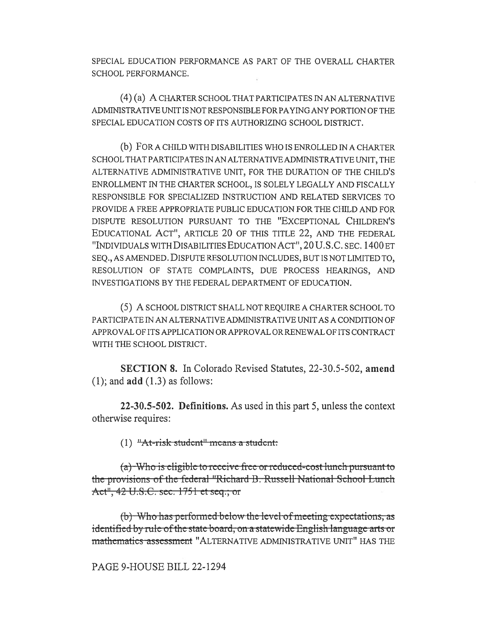SPECIAL EDUCATION PERFORMANCE AS PART OF THE OVERALL CHARTER SCHOOL PERFORMANCE.

(4) (a) A CHARTER SCHOOL THAT PARTICIPATES IN AN ALTERNATIVE ADMINISTRATIVE UNIT IS NOT RESPONSIBLE FOR PAYING ANY PORTION OF THE SPECIAL EDUCATION COSTS OF ITS AUTHORIZING SCHOOL DISTRICT.

(b) FOR A CHILD WITH DISABILITIES WHO IS ENROLLED IN A CHARTER SCHOOL THAT PARTICIPATES IN AN ALTERNATIVE ADMINISTRATIVE UNIT, THE ALTERNATIVE ADMINISTRATIVE UNIT, FOR THE DURATION OF THE CHILD'S ENROLLMENT IN THE CHARTER SCHOOL, IS SOLELY LEGALLY AND FISCALLY RESPONSIBLE FOR SPECIALIZED INSTRUCTION AND RELATED SERVICES TO PROVIDE A FREE APPROPRIATE PUBLIC EDUCATION FOR THE CHILD AND FOR DISPUTE RESOLUTION PURSUANT TO THE "EXCEPTIONAL CHILDREN'S EDUCATIONAL ACT", ARTICLE 20 OF THIS TITLE 22, AND THE FEDERAL "INDIVIDUALS WITH DISABILITIES EDUCATION ACT", 20 U.S.C. SEC. 1400 ET SEQ., AS AMENDED. DISPUTE RESOLUTION INCLUDES, BUT IS NOT LIMITED TO, RESOLUTION OF STATE COMPLAINTS, DUE PROCESS HEARINGS, AND INVESTIGATIONS BY THE FEDERAL DEPARTMENT OF EDUCATION.

(5) A SCHOOL DISTRICT SHALL NOT REQUIRE A CHARTER SCHOOL TO PARTICIPATE IN AN ALTERNATIVE ADMINISTRATIVE UNIT AS A CONDITION OF APPROVAL OF ITS APPLICATION OR APPROVAL OR RENEWAL OF ITS CONTRACT WITH THE SCHOOL DISTRICT.

SECTION 8. In Colorado Revised Statutes, 22-30.5-502, amend  $(1)$ ; and  $add(1.3)$  as follows:

22-30.5-502. Definitions. As used in this part 5, unless the context otherwise requires:

(1)  $H$ At-risk student<sup>n</sup>-means a student:

 $(a)$  Who is eligible to receive free or reduced-cost lunch pursuant to the provisions of the federal "Richard B. Russell National School Lunch Act", 42 U.S.C. sec. 1751 et seq.; or

 $(b)$ . Who has performed below the level of meeting expectations, as identified by rule-of the state board; on a statewide English language arts or mathematics assessment "ALTERNATIVE ADMINISTRATIVE UNIT" HAS THE

PAGE 9-HOUSE BILL 22-1294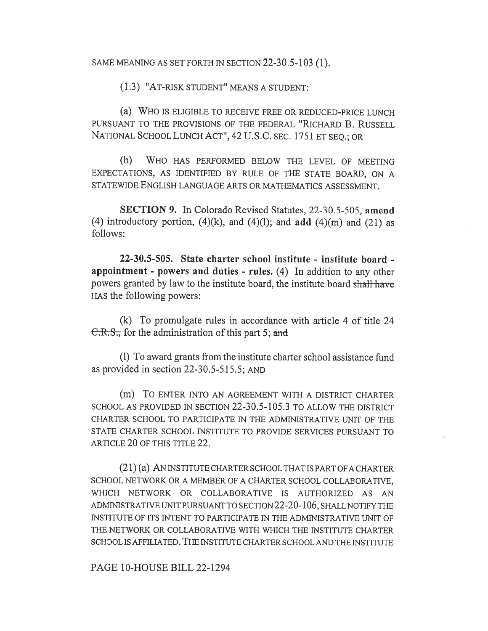SAME MEANING AS SET FORTH IN SECTION 22-30.5-103 (1).

(1.3) "AT-RISK STUDENT" MEANS A STUDENT:

(a) WHO IS ELIGIBLE TO RECEIVE FREE OR REDUCED-PRICE LUNCH PURSUANT TO THE PROVISIONS OF THE FEDERAL "RICHARD B. RUSSELL NATIONAL SCHOOL LUNCH ACT", 42 U.S.C. SEC. 1751 ET SEQ.; OR

(b) WHO HAS PERFORMED BELOW THE LEVEL OF MEETING EXPECTATIONS, AS IDENTIFIED BY RULE OF THE STATE BOARD, ON A STATEWIDE ENGLISH LANGUAGE ARTS OR MATHEMATICS ASSESSMENT.

SECTION 9. In Colorado Revised Statutes, 22-30.5-505, amend (4) introductory portion,  $(4)(k)$ , and  $(4)(l)$ ; and add  $(4)(m)$  and  $(21)$  as follows:

22-30.5-505. State charter school institute - institute board appointment - powers and duties - rules. (4) In addition to any other powers granted by law to the institute board, the institute board shall have HAS the following powers:

(k) To promulgate rules in accordance with article 4 of title 24 C.R.S., for the administration of this part 5; and

(1) To award grants from the institute charter school assistance fund as provided in section 22-30.5-515.5; AND

(m) To ENTER INTO AN AGREEMENT WITH A DISTRICT CHARTER SCHOOL AS PROVIDED IN SECTION 22-30.5-105.3 TO ALLOW THE DISTRICT CHARTER SCHOOL TO PARTICIPATE IN THE ADMINISTRATIVE UNIT OF THE STATE CHARTER SCHOOL INSTITUTE TO PROVIDE SERVICES PURSUANT TO ARTICLE 20 OF THIS TITLE 22.

(21) (a) AN INSTITUTE CHARTER SCHOOL THAT IS PART OF A CHARTER SCHOOL NETWORK OR A MEMBER OF A CHARTER SCHOOL COLLABORATIVE, WHICH NETWORK OR COLLABORATIVE IS AUTHORIZED AS AN ADMINISTRATIVE UNIT PURSUANT TO SECTION 22-20-106, SHALL NOTIFY THE INSTITUTE OF ITS INTENT TO PARTICIPATE IN THE ADMINISTRATIVE UNIT OF THE NETWORK OR COLLABORATIVE WITH WHICH THE INSTITUTE CHARTER SCHOOL IS AFFILIATED. THE INSTITUTE CHARTER SCHOOL AND THE INSTITUTE

PAGE 10-HOUSE BILL 22-1294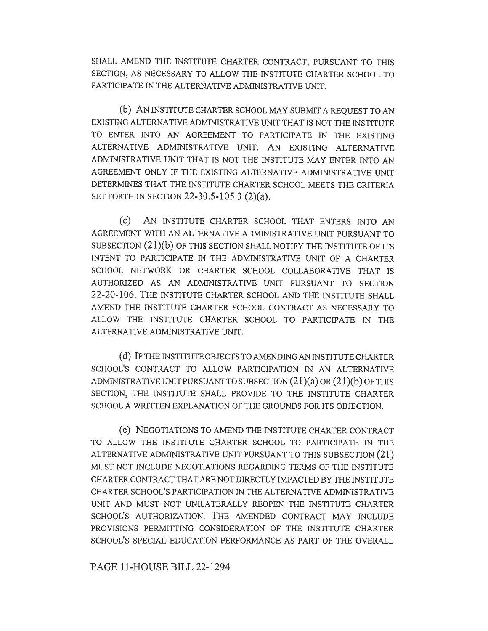SHALL AMEND THE INSTITUTE CHARTER CONTRACT, PURSUANT TO THIS SECTION, AS NECESSARY TO ALLOW THE INSTITUTE CHARTER SCHOOL TO PARTICIPATE IN THE ALTERNATIVE ADMINISTRATIVE UNIT.

(b) AN INSTITUTE CHARTER SCHOOL MAY SUBMIT A REQUEST TO AN EXISTING ALTERNATIVE ADMINISTRATIVE UNIT THAT IS NOT THE INSTITUTE TO ENTER INTO AN AGREEMENT TO PARTICIPATE IN THE EXISTING ALTERNATIVE ADMINISTRATIVE UNIT. AN EXISTING ALTERNATIVE ADMINISTRATIVE UNIT THAT IS NOT THE INSTITUTE MAY ENTER INTO AN AGREEMENT ONLY IF THE EXISTING ALTERNATIVE ADMINISTRATIVE UNIT DETERMINES THAT THE INSTITUTE CHARTER SCHOOL MEETS THE CRITERIA SET FORTH IN SECTION 22-30.5-105.3 (2)(a).

(C) AN INSTITUTE CHARTER SCHOOL THAT ENTERS INTO AN AGREEMENT WITH AN ALTERNATIVE ADMINISTRATIVE UNIT PURSUANT TO SUBSECTION (21)(b) OF THIS SECTION SHALL NOTIFY THE INSTITUTE OF ITS INTENT TO PARTICIPATE IN THE ADMINISTRATIVE UNIT OF A CHARTER SCHOOL NETWORK OR CHARTER SCHOOL COLLABORATIVE THAT IS AUTHORIZED AS AN ADMINISTRATIVE UNIT PURSUANT TO SECTION 22-20-106. THE INSTITUTE CHARTER SCHOOL AND THE INSTITUTE SHALL AMEND THE INSTITUTE CHARTER SCHOOL CONTRACT AS NECESSARY TO ALLOW THE INSTITUTE CHARTER SCHOOL TO PARTICIPATE IN THE ALTERNATIVE ADMINISTRATIVE UNIT.

(d) IF THE INSTITUTE OBJECTS TO AMENDING AN INSTITUTE CHARTER SCHOOL'S CONTRACT TO ALLOW PARTICIPATION IN AN ALTERNATIVE ADMINISTRATIVE UNIT PURSUANT TO SUBSECTION  $(21)(a)$  OR  $(21)(b)$  Of THIS SECTION, THE INSTITUTE SHALL PROVIDE TO THE INSTITUTE CHARTER SCHOOL A WRITTEN EXPLANATION OF THE GROUNDS FOR ITS OBJECTION.

(e) NEGOTIATIONS TO AMEND THE INSTITUTE CHARTER CONTRACT TO ALLOW THE INSTITUTE CHARTER SCHOOL TO PARTICIPATE IN THE ALTERNATIVE ADMINISTRATIVE UNIT PURSUANT TO THIS SUBSECTION (21) MUST NOT INCLUDE NEGOTIATIONS REGARDING TERMS OF THE INSTITUTE CHARTER CONTRACT THAT ARE NOT DIRECTLY IMPACTED BY THE INSTITUTE CHARTER SCHOOL'S PARTICIPATION IN THE ALTERNATIVE ADMINISTRATIVE UNIT AND MUST NOT UNILATERALLY REOPEN THE INSTITUTE CHARTER SCHOOL'S AUTHORIZATION. THE AMENDED CONTRACT MAY INCLUDE PROVISIONS PERMITTING CONSIDERATION OF THE INSTITUTE CHARTER SCHOOL'S SPECIAL EDUCATION PERFORMANCE AS PART OF THE OVERALL

# PAGE 11-HOUSE BILL 22-1294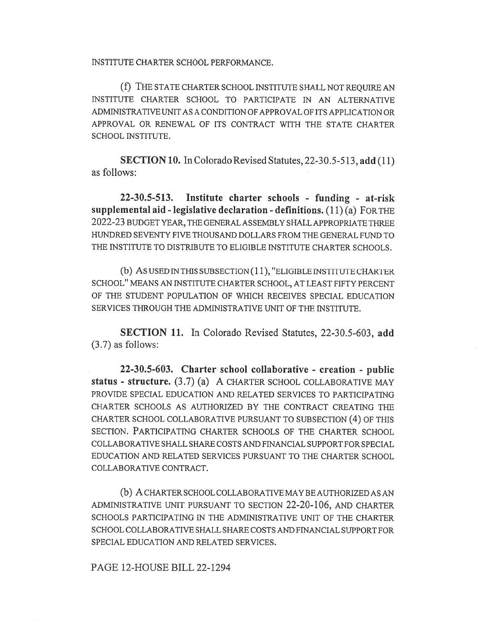INSTITUTE CHARTER SCHOOL PERFORMANCE.

(1) THE STATE CHARTER SCHOOL INSTITUTE SHALL NOT REQUIRE AN INSTITUTE CHARTER SCHOOL TO PARTICIPATE IN AN ALTERNATIVE ADMINISTRATIVE UNIT AS A CONDITION OF APPROVAL OF ITS APPLICATION OR APPROVAL OR RENEWAL OF ITS CONTRACT WITH THE STATE CHARTER SCHOOL INSTITUTE.

SECTION 10. In Colorado Revised Statutes, 22-30.5-513, add (11) as follows:

22-30.5-513. Institute charter schools - funding - at-risk supplemental aid - legislative declaration - definitions.  $(11)(a)$  FOR THE 2022-23 BUDGET YEAR, THE GENERAL ASSEMBLY SHALL APPROPRIATE THREE HUNDRED SEVENTY FIVE THOUSAND DOLLARS FROM THE GENERAL FUND TO THE INSTITUTE TO DISTRIBUTE TO ELIGIBLE INSTITUTE CHARTER SCHOOLS.

(b) AS USED IN THIS SUBSECTION (11), "ELIGIBLE INSTITUTE CHARTER SCHOOL" MEANS AN INSTITUTE CHARTER SCHOOL, AT LEAST FIFTY PERCENT OF THE STUDENT POPULATION OF WHICH RECEIVES SPECIAL EDUCATION SERVICES THROUGH THE ADMINISTRATIVE UNIT OF THE INSTITUTE.

SECTION 11. In Colorado Revised Statutes, 22-30.5-603, add (3.7) as follows:

22-30.5-603. Charter school collaborative - creation - public status - structure. (3.7) (a) A CHARTER SCHOOL COLLABORATIVE MAY PROVIDE SPECIAL EDUCATION AND RELATED SERVICES TO PARTICIPATING CHARTER SCHOOLS AS AUTHORIZED BY THE CONTRACT CREATING THE CHARTER SCHOOL COLLABORATIVE PURSUANT TO SUBSECTION (4) OF THIS SECTION. PARTICIPATING CHARTER SCHOOLS OF THE CHARTER SCHOOL COLLABORATIVE SHALL SHARE COSTS AND FINANCIAL SUPPORT FOR SPECIAL EDUCATION AND RELATED SERVICES PURSUANT TO THE CHARTER SCHOOL COLLABORATIVE CONTRACT.

(b) A CHARTER SCHOOL COLLABORATIVE MAY BE AUTHORIZED AS AN ADMINISTRATIVE UNIT PURSUANT TO SECTION 22-20-106, AND CHARTER SCHOOLS PARTICIPATING IN THE ADMINISTRATIVE UNIT OF THE CHARTER SCHOOL COLLABORATIVE SHALL SHARE COSTS AND FINANCIAL SUPPORT FOR SPECIAL EDUCATION AND RELATED SERVICES.

PAGE 12-HOUSE BILL 22-1294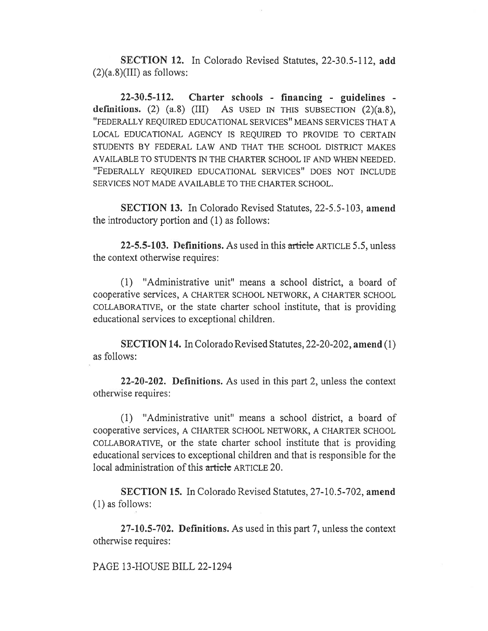SECTION 12. In Colorado Revised Statutes, 22-30.5-112, add  $(2)(a.8)(III)$  as follows:

22-30.5-112. Charter schools - financing - guidelines definitions. (2)  $(a.8)$  (III) As USED IN THIS SUBSECTION  $(2)(a.8)$ , "FEDERALLY REQUIRED EDUCATIONAL SERVICES" MEANS SERVICES THAT A LOCAL EDUCATIONAL AGENCY IS REQUIRED TO PROVIDE TO CERTAIN STUDENTS BY FEDERAL LAW AND THAT THE SCHOOL DISTRICT MAKES AVAILABLE TO STUDENTS IN THE CHARTER SCHOOL IF AND WHEN NEEDED. "FEDERALLY REQUIRED EDUCATIONAL SERVICES" DOES NOT INCLUDE SERVICES NOT MADE AVAILABLE TO THE CHARTER SCHOOL.

SECTION 13. In Colorado Revised Statutes, 22-5.5-103, amend the introductory portion and (1) as follows:

22-5.5-103. Definitions. As used in this article ARTICLE 5.5, unless the context otherwise requires:

(1) "Administrative unit" means a school district, a board of cooperative services, A CHARTER SCHOOL NETWORK, A CHARTER SCHOOL COLLABORATIVE, or the state charter school institute, that is providing educational services to exceptional children.

SECTION 14. In Colorado Revised Statutes, 22-20-202, amend (1) as follows:

22-20-202. Definitions. As used in this part 2, unless the context otherwise requires:

(1) "Administrative unit" means a school district, a board of cooperative services, A CHARTER SCHOOL NETWORK, A CHARTER SCHOOL COLLABORATIVE, or the state charter school institute that is providing educational services to exceptional children and that is responsible for the local administration of this article ARTICLE 20.

SECTION 15. In Colorado Revised Statutes, 27-10.5-702, amend (1) as follows:

27-10.5-702. Definitions. As used in this part 7, unless the context otherwise requires:

PAGE 13-HOUSE BILL 22-1294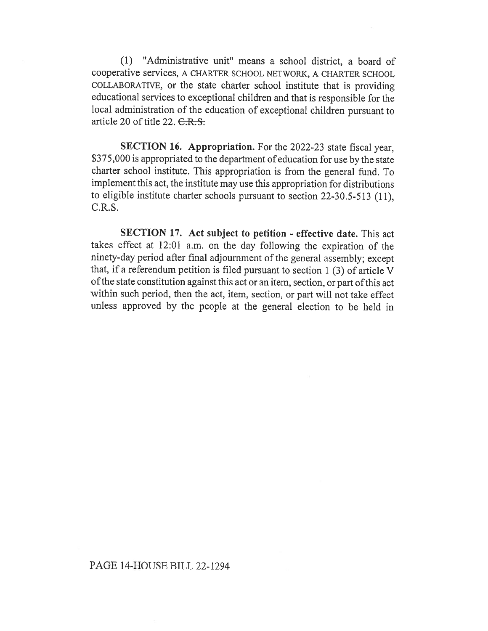(1) "Administrative unit" means a school district, a board of cooperative services, A CHARTER SCHOOL NETWORK, A CHARTER SCHOOL COLLABORATIVE, or the state charter school institute that is providing educational services to exceptional children and that is responsible for the local administration of the education of exceptional children pursuant to article 20 of title 22.  $C.R.S.$ 

SECTION 16. Appropriation. For the 2022-23 state fiscal year, \$375,000 is appropriated to the department of education for use by the state charter school institute. This appropriation is from the general fund. To implement this act, the institute may use this appropriation for distributions to eligible institute charter schools pursuant to section 22-30.5-513 (11),  $C.R.S.$ 

SECTION 17. Act subject to petition - effective date. This act takes effect at 12:01 a.m. on the day following the expiration of the ninety-day period after final adjournment of the general assembly; except that, if a referendum petition is filed pursuant to section 1 (3) of article V of the state constitution against this act or an item, section, or part of this act within such period, then the act, item, section, or part will not take effect unless approved by the people at the general election to be held in

# PAGE 14-HOUSE BILL 22-1294